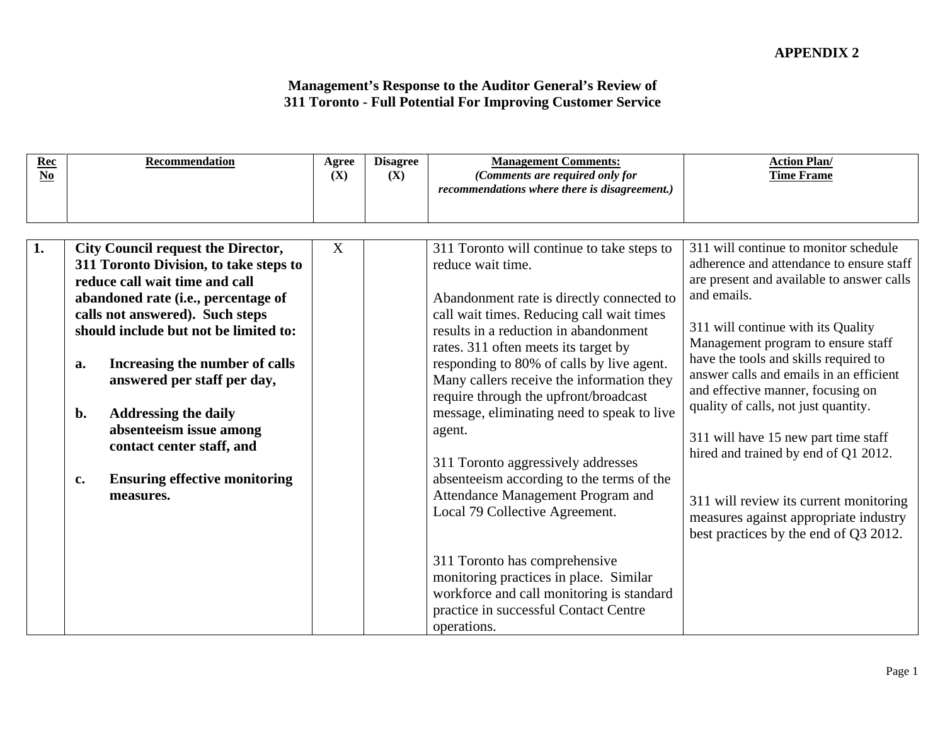| $\frac{\text{Rec}}{\text{No}}$ | Recommendation                                                           | Agree<br>(X) | <b>Disagree</b><br>(X) | <b>Management Comments:</b><br>(Comments are required only for                           | <b>Action Plan/</b><br><b>Time Frame</b>                                         |
|--------------------------------|--------------------------------------------------------------------------|--------------|------------------------|------------------------------------------------------------------------------------------|----------------------------------------------------------------------------------|
|                                |                                                                          |              |                        | recommendations where there is disagreement.)                                            |                                                                                  |
|                                |                                                                          |              |                        |                                                                                          |                                                                                  |
|                                | <b>City Council request the Director,</b>                                |              |                        | 311 Toronto will continue to take steps to $\vert$ 311 will continue to monitor schedule |                                                                                  |
|                                | 311 Toronto Division, to take steps to                                   |              |                        | reduce wait time.                                                                        | adherence and attendance to ensure staff                                         |
|                                | reduce call wait time and call                                           |              |                        |                                                                                          | are present and available to answer calls                                        |
|                                | abandoned rate (i.e., percentage of                                      |              |                        | Abandonment rate is directly connected to $\vert$ and emails.                            |                                                                                  |
|                                | calls not answered). Such steps<br>should include but not be limited to: |              |                        | call wait times. Reducing call wait times<br>results in a reduction in abandonment       | 311 will continue with its Quality                                               |
|                                |                                                                          |              |                        | rates. 311 often meets its target by                                                     | Management program to ensure staff                                               |
|                                | Increasing the number of calls                                           |              |                        | responding to 80% of calls by live agent.                                                | have the tools and skills required to<br>answer calls and emails in an efficient |
|                                | answered per staff per day,                                              |              |                        | Many callers receive the information they<br>require through the upfront/broadcast       | and effective manner, focusing on                                                |
|                                | <b>Addressing the daily</b>                                              |              |                        | message, eliminating need to speak to live                                               | quality of calls, not just quantity.                                             |
|                                | absenteeism issue among                                                  |              |                        | agent.                                                                                   | 311 will have 15 new part time staff                                             |
|                                | contact center staff, and                                                |              |                        |                                                                                          | hired and trained by end of Q1 2012.                                             |
|                                | <b>Ensuring effective monitoring</b>                                     |              |                        | 311 Toronto aggressively addresses<br>absenteeism according to the terms of the          |                                                                                  |
|                                | measures.                                                                |              |                        | Attendance Management Program and                                                        |                                                                                  |
|                                |                                                                          |              |                        | Local 79 Collective Agreement.                                                           | 311 will review its current monitoring<br>measures against appropriate industry  |
|                                |                                                                          |              |                        |                                                                                          | best practices by the end of Q3 2012.                                            |
|                                |                                                                          |              |                        | 311 Toronto has comprehensive                                                            |                                                                                  |
|                                |                                                                          |              |                        | monitoring practices in place. Similar                                                   |                                                                                  |
|                                |                                                                          |              |                        | workforce and call monitoring is standard                                                |                                                                                  |
|                                |                                                                          |              |                        | practice in successful Contact Centre                                                    |                                                                                  |
|                                |                                                                          |              |                        | operations.                                                                              |                                                                                  |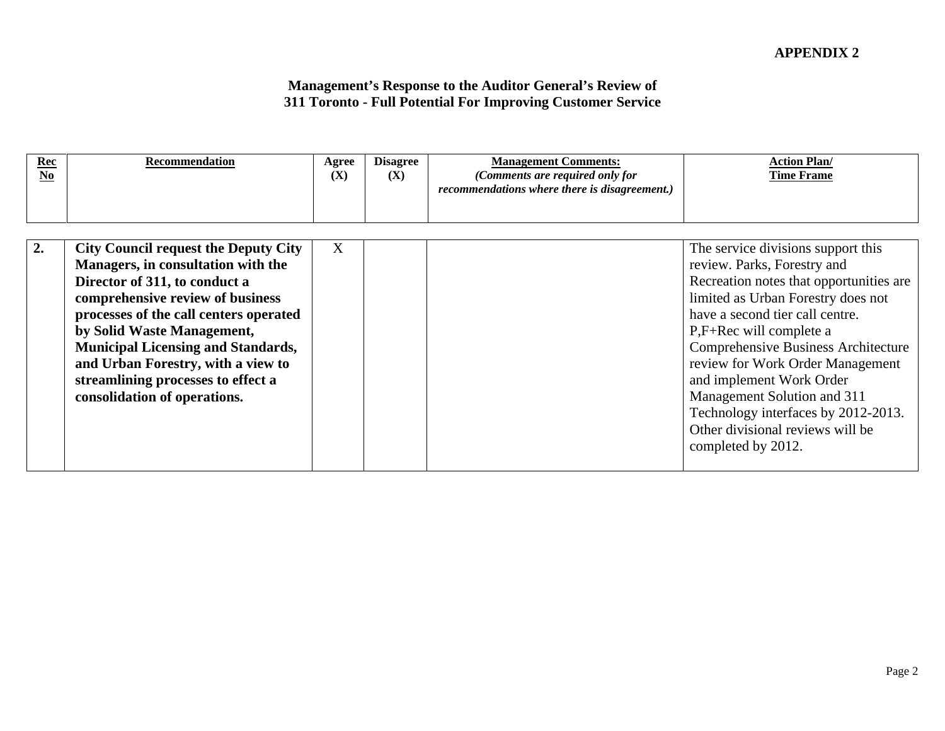| $\sim$<br><u>kec</u> | <b>Aecommendation</b> | Agree | <b>Disagree</b> | <b>B</b> <i>B</i><br><b>Management Comments</b> | <u> Action Plan/</u> |  |
|----------------------|-----------------------|-------|-----------------|-------------------------------------------------|----------------------|--|
|                      |                       | (X)   | (X)             | (Comments are required only for                 | <b>Time Frame</b>    |  |
|                      |                       |       |                 | recommendations where there is disagreement.)   |                      |  |
|                      |                       |       |                 |                                                 |                      |  |
|                      |                       |       |                 |                                                 |                      |  |

| <b>City Council request the Deputy City</b> | The service divisions support this      |
|---------------------------------------------|-----------------------------------------|
| Managers, in consultation with the          | review. Parks, Forestry and             |
| Director of 311, to conduct a               | Recreation notes that opportunities are |
| comprehensive review of business            | limited as Urban Forestry does not      |
| processes of the call centers operated      | have a second tier call centre.         |
| by Solid Waste Management,                  | P,F+Rec will complete a                 |
| <b>Municipal Licensing and Standards,</b>   | Comprehensive Business Architecture     |
| and Urban Forestry, with a view to          | review for Work Order Management        |
| streamlining processes to effect a          | and implement Work Order                |
| consolidation of operations.                | Management Solution and 311             |
|                                             | Technology interfaces by 2012-2013.     |
|                                             | Other divisional reviews will be        |
|                                             | completed by 2012.                      |
|                                             |                                         |
|                                             |                                         |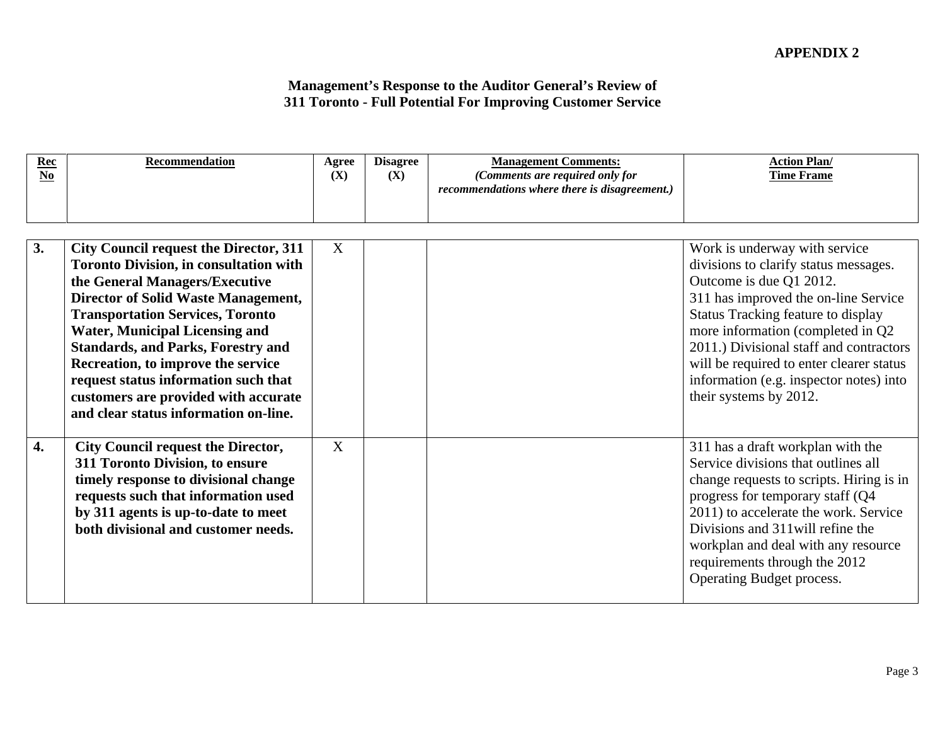| $\frac{\text{Rec}}{\text{No}}$ | Recommendation                                                                                                                                                                                                                                                                                                                                                                                                                                                                 | (X) | Agree Disagree<br>(X) | <b>Management Comments:</b><br>(Comments are required only for<br>recommendations where there is disagreement.) | <b>Action Plan/</b><br><b>Time Frame</b>                                                                                                                                                                                                                                                                                                                                         |
|--------------------------------|--------------------------------------------------------------------------------------------------------------------------------------------------------------------------------------------------------------------------------------------------------------------------------------------------------------------------------------------------------------------------------------------------------------------------------------------------------------------------------|-----|-----------------------|-----------------------------------------------------------------------------------------------------------------|----------------------------------------------------------------------------------------------------------------------------------------------------------------------------------------------------------------------------------------------------------------------------------------------------------------------------------------------------------------------------------|
|                                | <b>City Council request the Director, 311</b><br><b>Toronto Division, in consultation with</b><br>the General Managers/Executive<br><b>Director of Solid Waste Management,</b><br><b>Transportation Services, Toronto</b><br><b>Water, Municipal Licensing and</b><br><b>Standards, and Parks, Forestry and</b><br>Recreation, to improve the service<br>request status information such that<br>customers are provided with accurate<br>and clear status information on-line. |     |                       |                                                                                                                 | Work is underway with service<br>divisions to clarify status messages.<br>Outcome is due Q1 2012.<br>311 has improved the on-line Service<br>Status Tracking feature to display<br>more information (completed in Q2<br>2011.) Divisional staff and contractors<br>will be required to enter clearer status<br>information (e.g. inspector notes) into<br>their systems by 2012. |
|                                | <b>City Council request the Director,</b><br>311 Toronto Division, to ensure<br>timely response to divisional change<br>requests such that information used<br>by 311 agents is up-to-date to meet<br>both divisional and customer needs.                                                                                                                                                                                                                                      |     |                       |                                                                                                                 | 311 has a draft workplan with the<br>Service divisions that outlines all<br>change requests to scripts. Hiring is in<br>progress for temporary staff (Q4<br>2011) to accelerate the work. Service<br>Divisions and 311 will refine the<br>workplan and deal with any resource<br>requirements through the 2012<br>Operating Budget process.                                      |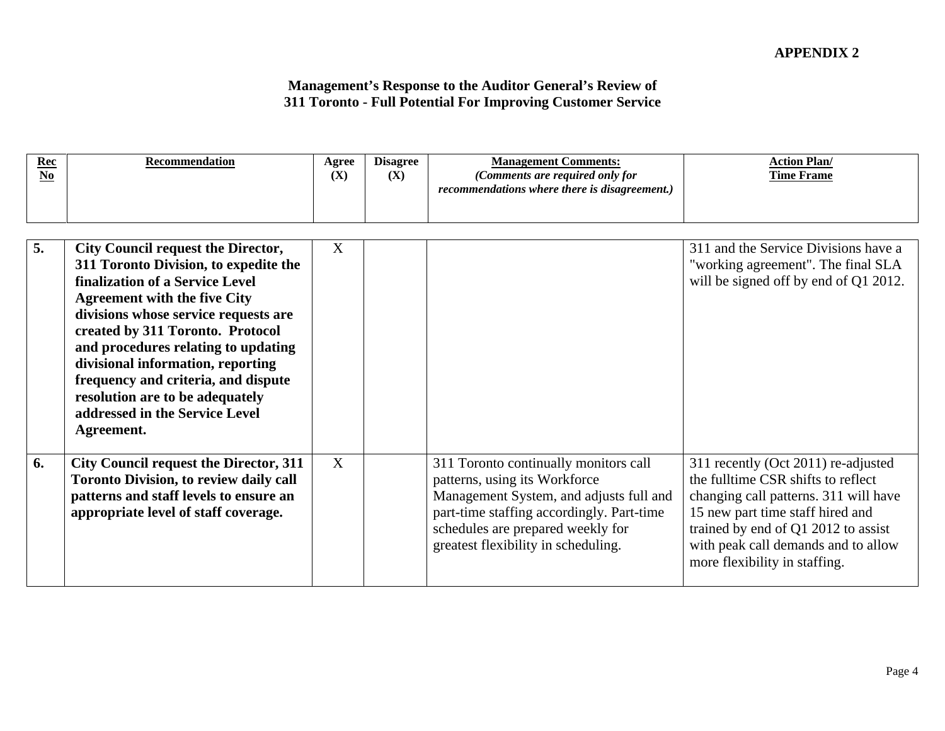| <b>City Council request the Director,</b>     |                                                                                 | 311 and the Service Divisions have a  |  |
|-----------------------------------------------|---------------------------------------------------------------------------------|---------------------------------------|--|
| 311 Toronto Division, to expedite the         |                                                                                 | "working agreement". The final SLA    |  |
| finalization of a Service Level               |                                                                                 | will be signed off by end of Q1 2012. |  |
| <b>Agreement with the five City</b>           |                                                                                 |                                       |  |
| divisions whose service requests are          |                                                                                 |                                       |  |
| created by 311 Toronto. Protocol              |                                                                                 |                                       |  |
| and procedures relating to updating           |                                                                                 |                                       |  |
| divisional information, reporting             |                                                                                 |                                       |  |
| frequency and criteria, and dispute           |                                                                                 |                                       |  |
| resolution are to be adequately               |                                                                                 |                                       |  |
| addressed in the Service Level                |                                                                                 |                                       |  |
| Agreement.                                    |                                                                                 |                                       |  |
|                                               |                                                                                 |                                       |  |
| City Council request the Director, 311        | 311 Toronto continually monitors call                                           | 311 recently (Oct 2011) re-adjusted   |  |
| <b>Toronto Division, to review daily call</b> | patterns, using its Workforce                                                   | the fulltime CSR shifts to reflect    |  |
| patterns and staff levels to ensure an        | Management System, and adjusts full and   changing call patterns. 311 will have |                                       |  |
| appropriate level of staff coverage.          | part-time staffing accordingly. Part-time                                       | 15 new part time staff hired and      |  |
|                                               | schedules are prepared weekly for                                               | trained by end of Q1 2012 to assist   |  |
|                                               | greatest flexibility in scheduling.                                             | with peak call demands and to allow   |  |
|                                               |                                                                                 | more flexibility in staffing.         |  |
|                                               |                                                                                 |                                       |  |
|                                               |                                                                                 |                                       |  |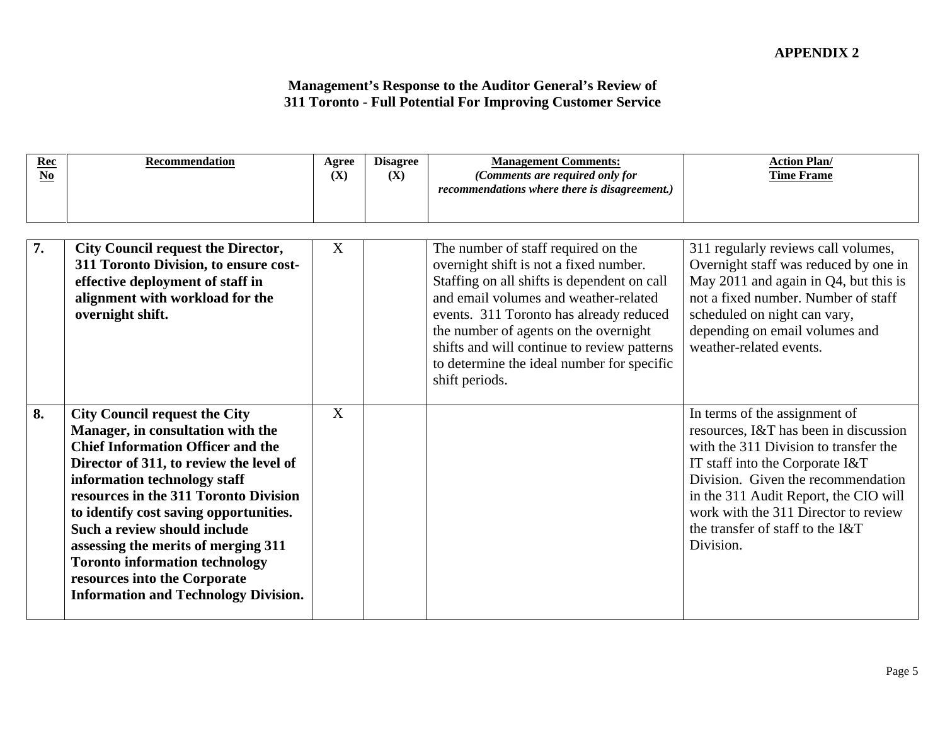| $\frac{\text{Rec}}{\text{No}}$ | Recommendation                                                                                                                                                                                                                                                                                                                                                                                                                                                                     | <b>Agree</b><br>(X) | <b>Disagree</b><br>(X) | <b>Management Comments:</b><br>(Comments are required only for<br>recommendations where there is disagreement.)                                                                                                                                                                                                                                                          | <b>Action Plan/</b><br><b>Time Frame</b>                                                                                                                                                                                                                                                                                   |
|--------------------------------|------------------------------------------------------------------------------------------------------------------------------------------------------------------------------------------------------------------------------------------------------------------------------------------------------------------------------------------------------------------------------------------------------------------------------------------------------------------------------------|---------------------|------------------------|--------------------------------------------------------------------------------------------------------------------------------------------------------------------------------------------------------------------------------------------------------------------------------------------------------------------------------------------------------------------------|----------------------------------------------------------------------------------------------------------------------------------------------------------------------------------------------------------------------------------------------------------------------------------------------------------------------------|
|                                | <b>City Council request the Director,</b><br>311 Toronto Division, to ensure cost-<br>effective deployment of staff in<br>alignment with workload for the<br>overnight shift.                                                                                                                                                                                                                                                                                                      |                     |                        | The number of staff required on the<br>overnight shift is not a fixed number.<br>Staffing on all shifts is dependent on call<br>and email volumes and weather-related<br>events. 311 Toronto has already reduced<br>the number of agents on the overnight<br>shifts and will continue to review patterns<br>to determine the ideal number for specific<br>shift periods. | 311 regularly reviews call volumes,<br>Overnight staff was reduced by one in<br>May 2011 and again in Q4, but this is<br>not a fixed number. Number of staff<br>scheduled on night can vary,<br>depending on email volumes and<br>weather-related events.                                                                  |
|                                | <b>City Council request the City</b><br>Manager, in consultation with the<br><b>Chief Information Officer and the</b><br>Director of 311, to review the level of<br>information technology staff<br>resources in the 311 Toronto Division<br>to identify cost saving opportunities.<br>Such a review should include<br>assessing the merits of merging 311<br><b>Toronto information technology</b><br>resources into the Corporate<br><b>Information and Technology Division.</b> |                     |                        |                                                                                                                                                                                                                                                                                                                                                                          | In terms of the assignment of<br>resources, I&T has been in discussion<br>with the 311 Division to transfer the<br>IT staff into the Corporate I&T<br>Division. Given the recommendation<br>in the 311 Audit Report, the CIO will<br>work with the 311 Director to review<br>the transfer of staff to the I&T<br>Division. |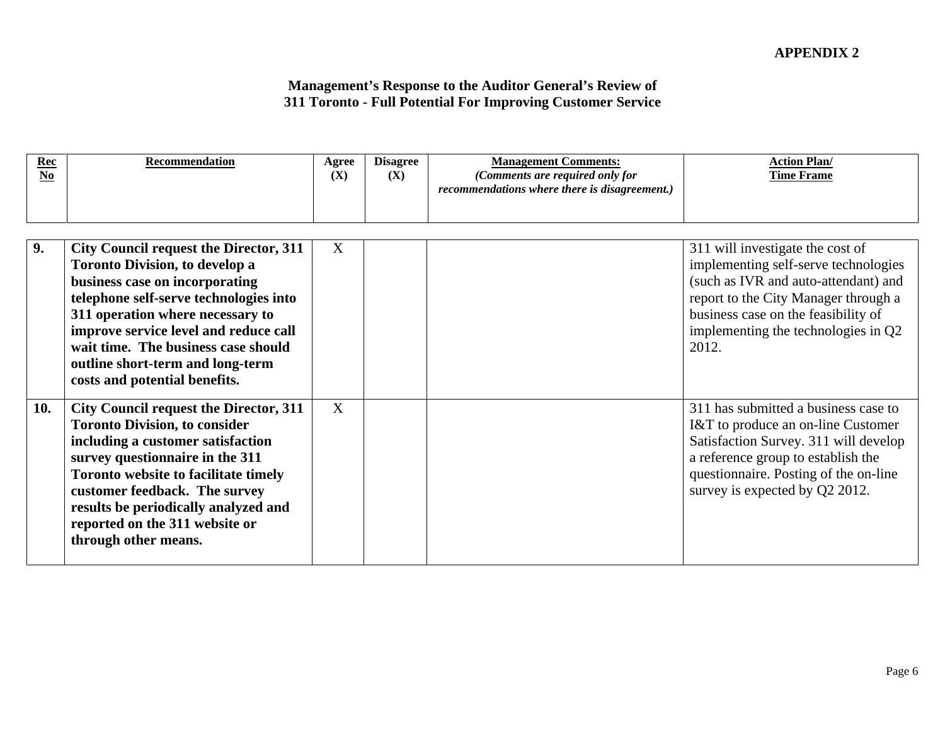| $\frac{\text{Rec}}{\text{No}}$ | Recommendation                                                                                                                                                                                                                                                                                                                                         | <b>Agree</b><br>(X) | <b>Disagree</b><br>(X) | <b>Management Comments:</b><br>(Comments are required only for<br>recommendations where there is disagreement.) | <b>Action Plan/</b><br><b>Time Frame</b>                                                                                                                                                                                                        |
|--------------------------------|--------------------------------------------------------------------------------------------------------------------------------------------------------------------------------------------------------------------------------------------------------------------------------------------------------------------------------------------------------|---------------------|------------------------|-----------------------------------------------------------------------------------------------------------------|-------------------------------------------------------------------------------------------------------------------------------------------------------------------------------------------------------------------------------------------------|
|                                | City Council request the Director, 311  <br><b>Toronto Division, to develop a</b><br>business case on incorporating<br>telephone self-serve technologies into<br>311 operation where necessary to<br>improve service level and reduce call<br>wait time. The business case should<br>outline short-term and long-term<br>costs and potential benefits. |                     |                        |                                                                                                                 | 311 will investigate the cost of<br>implementing self-serve technologies<br>(such as IVR and auto-attendant) and<br>report to the City Manager through a<br>business case on the feasibility of<br>implementing the technologies in Q2<br>2012. |
|                                | 10. City Council request the Director, 311<br><b>Toronto Division, to consider</b><br>including a customer satisfaction<br>survey questionnaire in the 311<br>Toronto website to facilitate timely<br>customer feedback. The survey<br>results be periodically analyzed and<br>reported on the 311 website or<br>through other means.                  |                     |                        |                                                                                                                 | 311 has submitted a business case to<br>I&T to produce an on-line Customer<br>Satisfaction Survey. 311 will develop<br>a reference group to establish the<br>questionnaire. Posting of the on-line<br>survey is expected by Q2 2012.            |